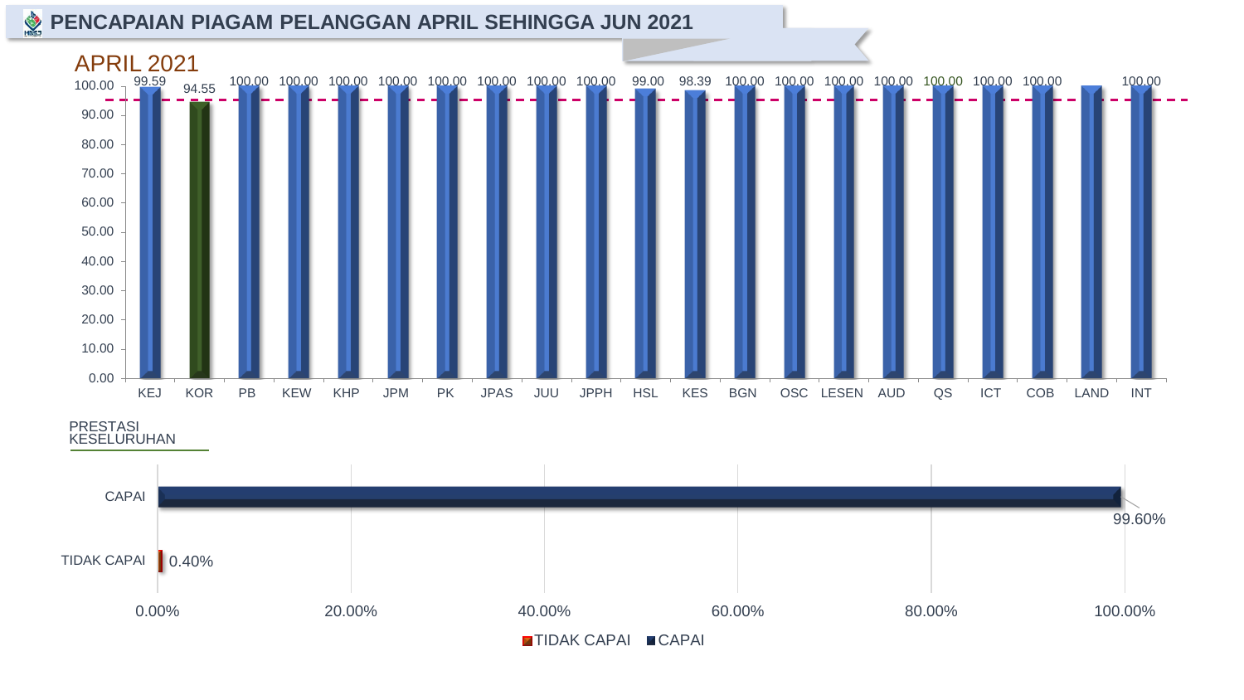#### **PENCAPAIAN PIAGAM PELANGGAN APRIL SEHINGGA JUN 2021**



PRESTASI KESELURUHAN

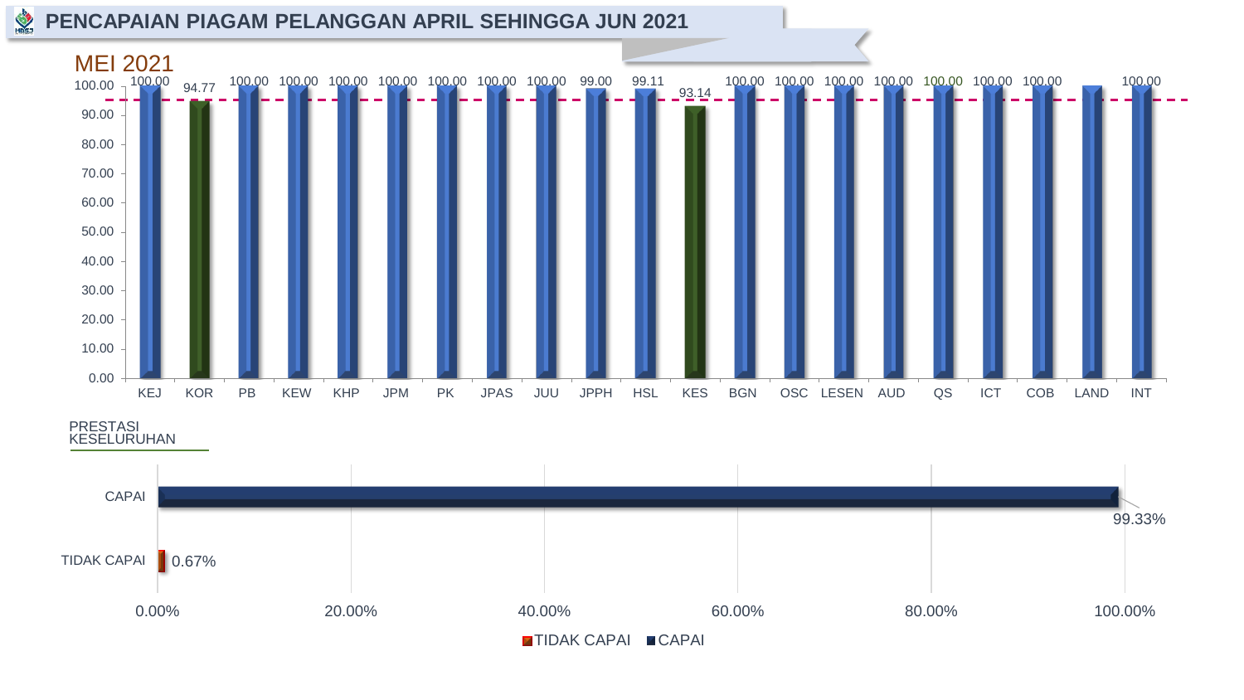#### **PENCAPAIAN PIAGAM PELANGGAN APRIL SEHINGGA JUN 2021**



PRESTASI KESELURUHAN

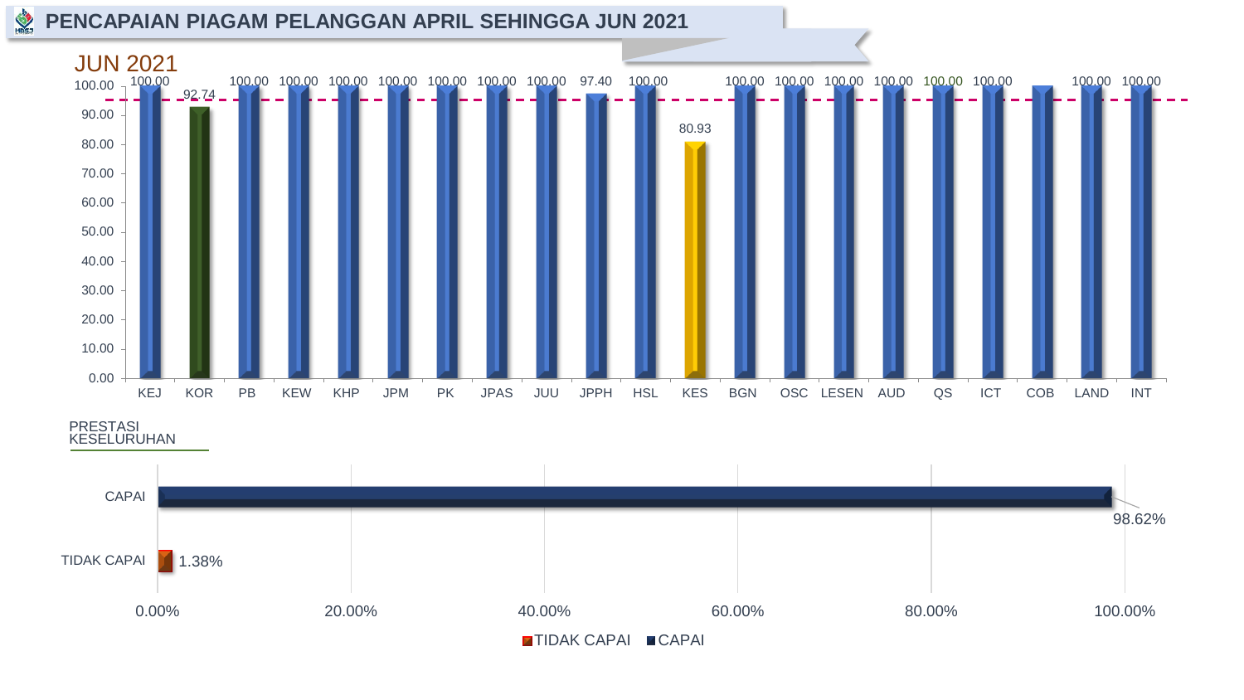#### **PENCAPAIAN PIAGAM PELANGGAN APRIL SEHINGGA JUN 2021**



PRESTASI KESELURUHAN

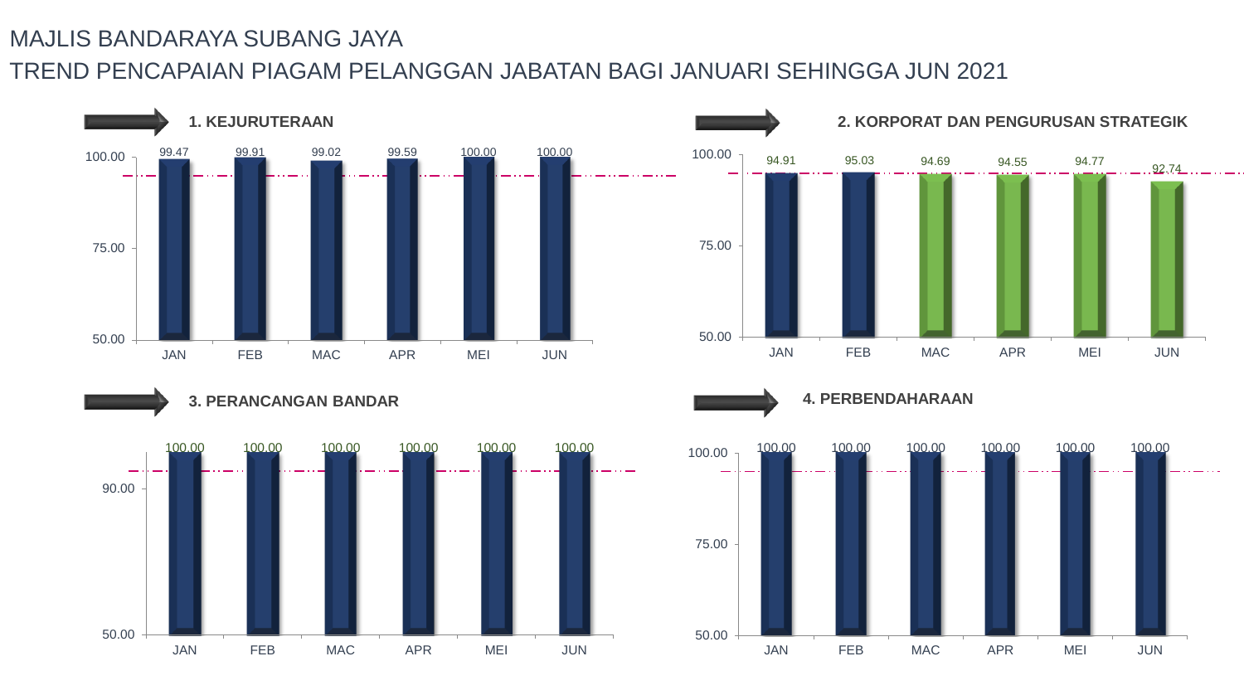



**4. PERBENDAHARAAN**

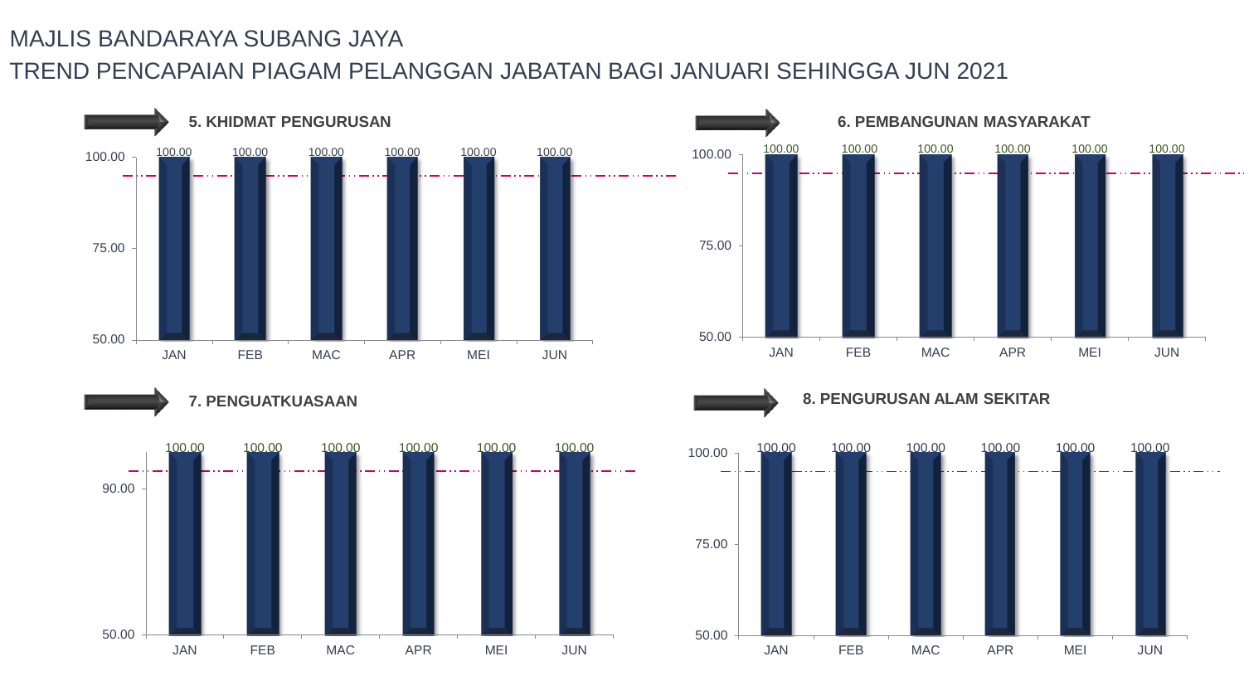

JAN FEB MAC APR MEI JUN

50.00



**8. PENGURUSAN ALAM SEKITAR**

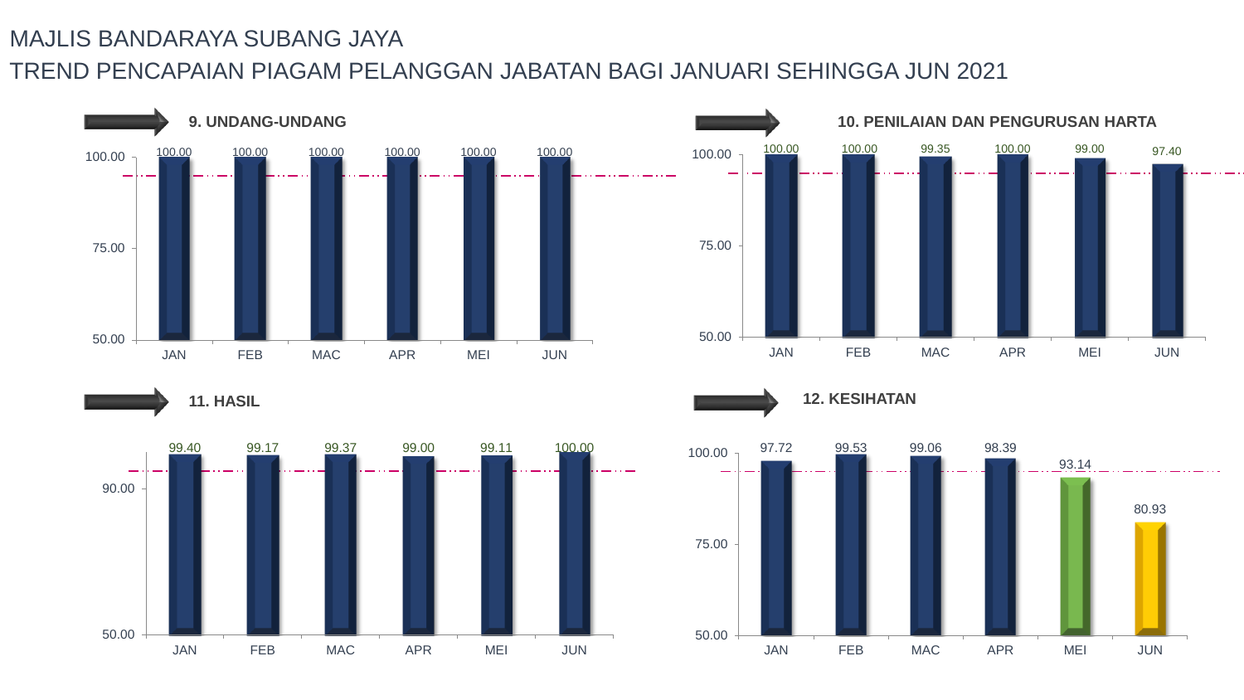

**11. HASIL**







**12. KESIHATAN**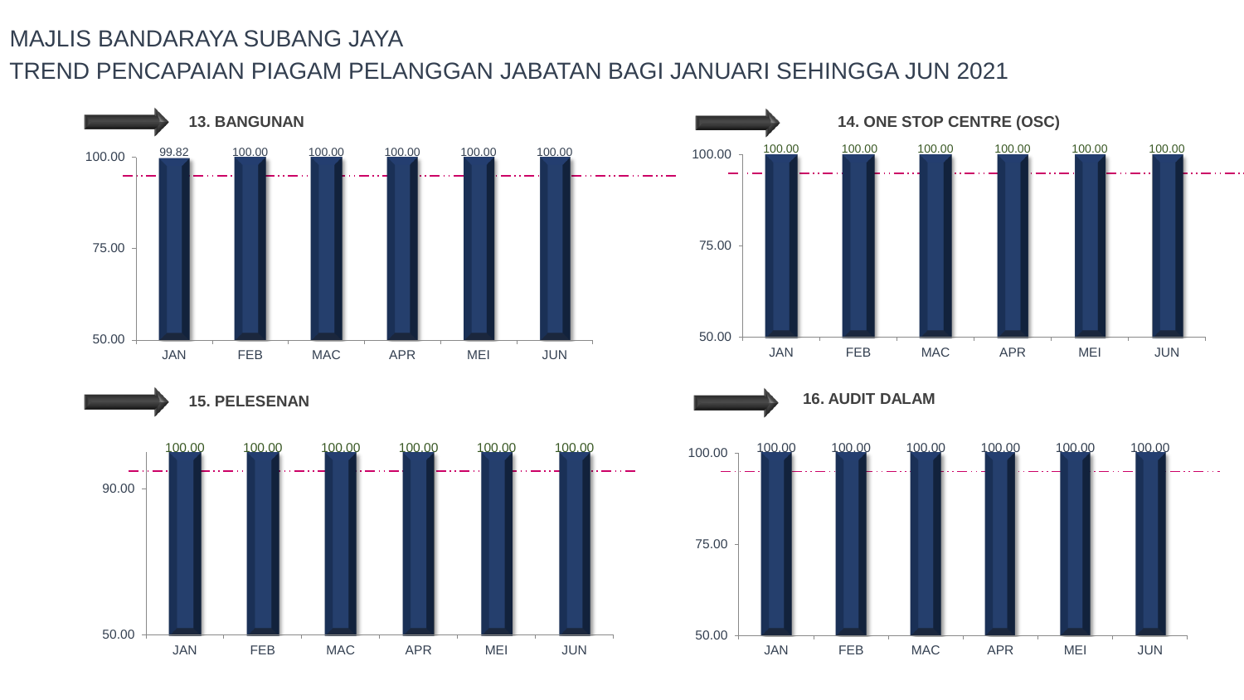









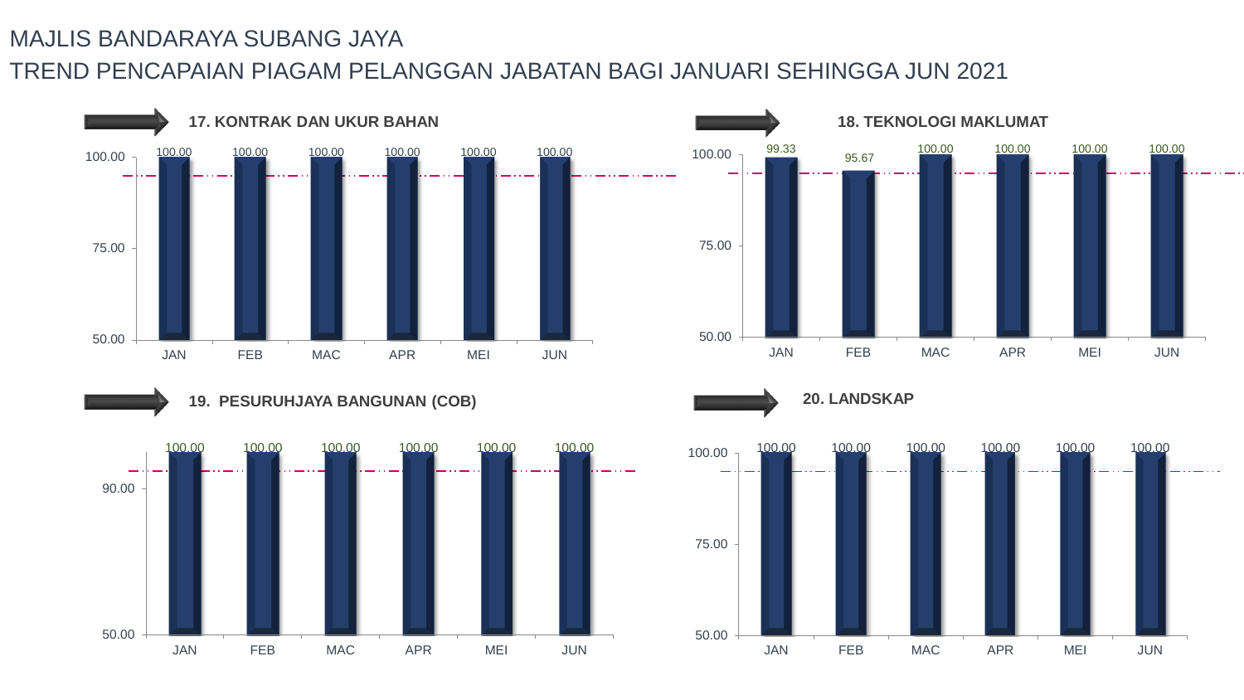